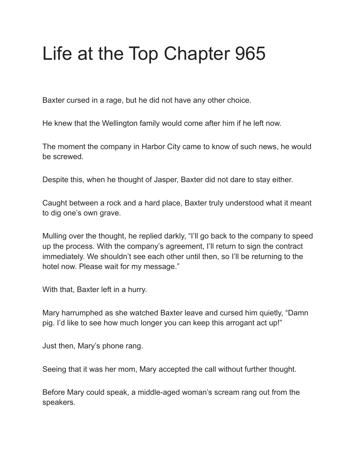## Life at the Top Chapter 965

Baxter cursed in a rage, but he did not have any other choice.

He knew that the Wellington family would come after him if he left now.

The moment the company in Harbor City came to know of such news, he would be screwed.

Despite this, when he thought of Jasper, Baxter did not dare to stay either.

Caught between a rock and a hard place, Baxter truly understood what it meant to dig one's own grave.

Mulling over the thought, he replied darkly, "I'll go back to the company to speed up the process. With the company's agreement, I'll return to sign the contract immediately. We shouldn't see each other until then, so I'll be returning to the hotel now. Please wait for my message."

With that, Baxter left in a hurry.

Mary harrumphed as she watched Baxter leave and cursed him quietly, "Damn pig. I'd like to see how much longer you can keep this arrogant act up!"

Just then, Mary's phone rang.

Seeing that it was her mom, Mary accepted the call without further thought.

Before Mary could speak, a middle-aged woman's scream rang out from the speakers.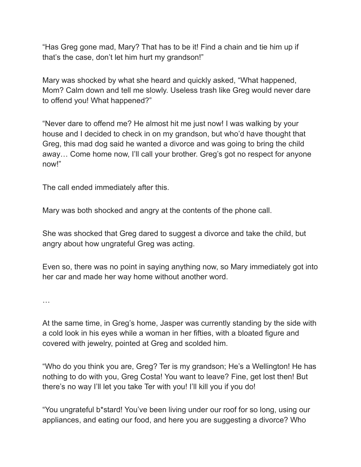"Has Greg gone mad, Mary? That has to be it! Find a chain and tie him up if that's the case, don't let him hurt my grandson!"

Mary was shocked by what she heard and quickly asked, "What happened, Mom? Calm down and tell me slowly. Useless trash like Greg would never dare to offend you! What happened?"

"Never dare to offend me? He almost hit me just now! I was walking by your house and I decided to check in on my grandson, but who'd have thought that Greg, this mad dog said he wanted a divorce and was going to bring the child away… Come home now, I'll call your brother. Greg's got no respect for anyone now!"

The call ended immediately after this.

Mary was both shocked and angry at the contents of the phone call.

She was shocked that Greg dared to suggest a divorce and take the child, but angry about how ungrateful Greg was acting.

Even so, there was no point in saying anything now, so Mary immediately got into her car and made her way home without another word.

…

At the same time, in Greg's home, Jasper was currently standing by the side with a cold look in his eyes while a woman in her fifties, with a bloated figure and covered with jewelry, pointed at Greg and scolded him.

"Who do you think you are, Greg? Ter is my grandson; He's a Wellington! He has nothing to do with you, Greg Costa! You want to leave? Fine, get lost then! But there's no way I'll let you take Ter with you! I'll kill you if you do!

"You ungrateful b\*stard! You've been living under our roof for so long, using our appliances, and eating our food, and here you are suggesting a divorce? Who